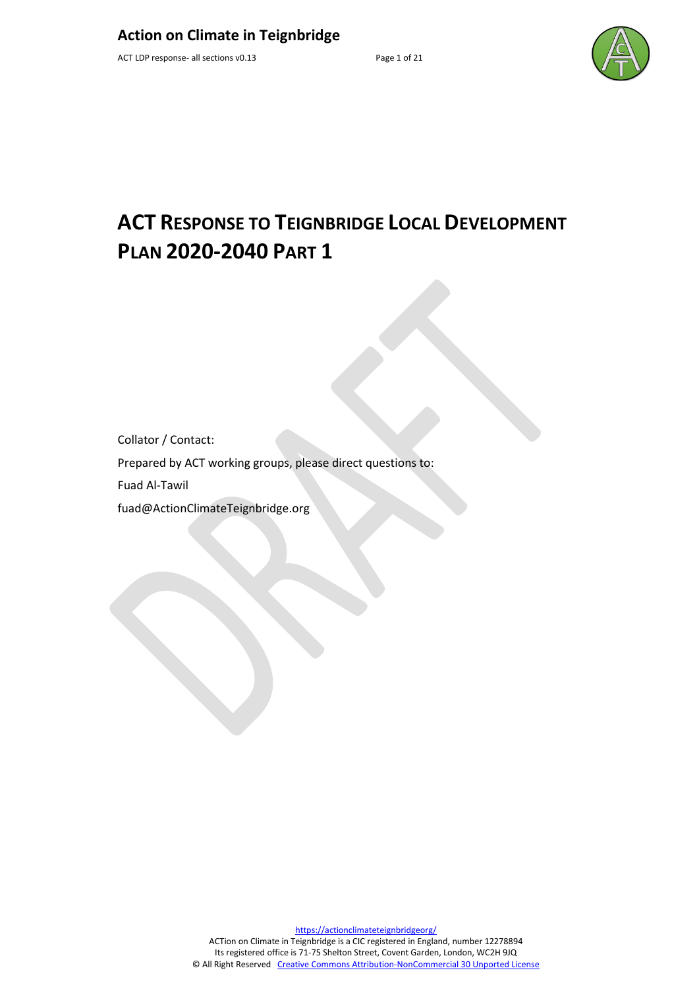

# **ACT RESPONSE TO TEIGNBRIDGE LOCAL DEVELOPMENT PLAN 2020-2040 PART 1**

Collator / Contact:

Prepared by ACT working groups, please direct questions to:

Fuad Al-Tawil

fuad@ActionClimateTeignbridge.org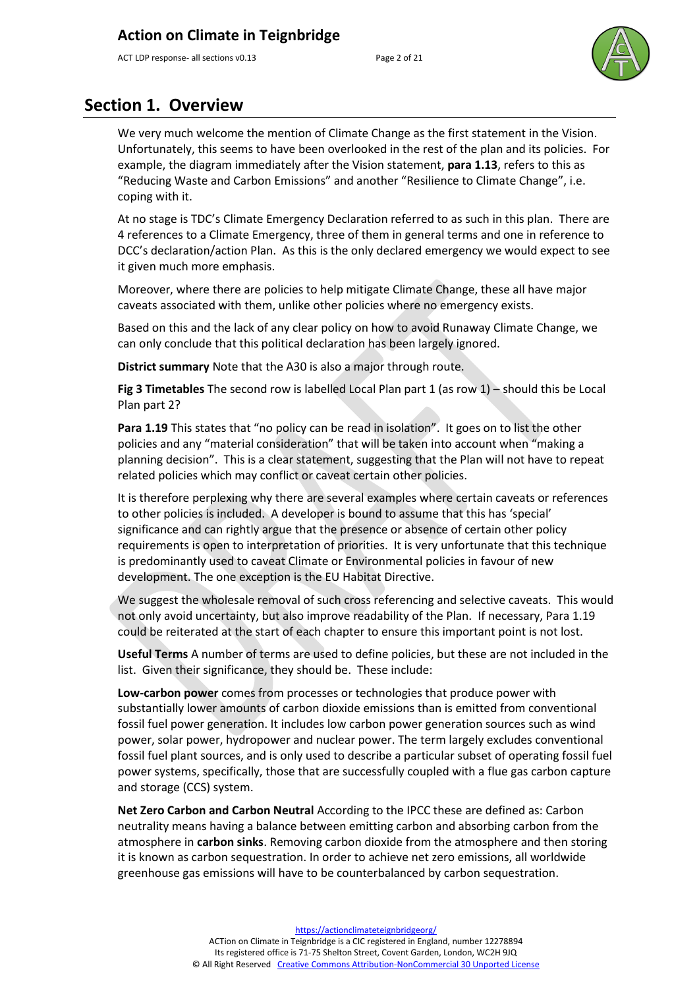ACT LDP response- all sections v0.13 Page 2 of 21



## **Section 1. Overview**

We very much welcome the mention of Climate Change as the first statement in the Vision. Unfortunately, this seems to have been overlooked in the rest of the plan and its policies. For example, the diagram immediately after the Vision statement, **para 1.13**, refers to this as "Reducing Waste and Carbon Emissions" and another "Resilience to Climate Change", i.e. coping with it.

At no stage is TDC's Climate Emergency Declaration referred to as such in this plan. There are 4 references to a Climate Emergency, three of them in general terms and one in reference to DCC's declaration/action Plan. As this is the only declared emergency we would expect to see it given much more emphasis.

Moreover, where there are policies to help mitigate Climate Change, these all have major caveats associated with them, unlike other policies where no emergency exists.

Based on this and the lack of any clear policy on how to avoid Runaway Climate Change, we can only conclude that this political declaration has been largely ignored.

**District summary** Note that the A30 is also a major through route.

**Fig 3 Timetables** The second row is labelled Local Plan part 1 (as row 1) – should this be Local Plan part 2?

**Para 1.19** This states that "no policy can be read in isolation". It goes on to list the other policies and any "material consideration" that will be taken into account when "making a planning decision". This is a clear statement, suggesting that the Plan will not have to repeat related policies which may conflict or caveat certain other policies.

It is therefore perplexing why there are several examples where certain caveats or references to other policies is included. A developer is bound to assume that this has 'special' significance and can rightly argue that the presence or absence of certain other policy requirements is open to interpretation of priorities. It is very unfortunate that this technique is predominantly used to caveat Climate or Environmental policies in favour of new development. The one exception is the EU Habitat Directive.

We suggest the wholesale removal of such cross referencing and selective caveats. This would not only avoid uncertainty, but also improve readability of the Plan. If necessary, Para 1.19 could be reiterated at the start of each chapter to ensure this important point is not lost.

**Useful Terms** A number of terms are used to define policies, but these are not included in the list. Given their significance, they should be. These include:

**Low-carbon power** comes from processes or technologies that produce power with substantially lower amounts of [carbon dioxide](https://en.wikipedia.org/wiki/Carbon_dioxide) emissions than is emitted from conventional [fossil fuel](https://en.wikipedia.org/wiki/Fossil_fuel) [power generation.](https://en.wikipedia.org/wiki/Power_generation) It includes low carbon power generation sources such as [wind](https://en.wikipedia.org/wiki/Wind_power)  [power,](https://en.wikipedia.org/wiki/Wind_power) [solar power,](https://en.wikipedia.org/wiki/Solar_power) [hydropower](https://en.wikipedia.org/wiki/Hydropower) and [nuclear power.](https://en.wikipedia.org/wiki/Nuclear_power) The term largely excludes conventional [fossil fuel plant](https://en.wikipedia.org/wiki/Fossil_fuel_power_station) sources, and is only used to describe a particular subset of operating fossil fuel power systems, specifically, those that are successfully coupled with a [flue gas](https://en.wikipedia.org/wiki/Flue_gas) [carbon capture](https://en.wikipedia.org/wiki/Carbon_capture_and_storage)  [and storage](https://en.wikipedia.org/wiki/Carbon_capture_and_storage) (CCS) system.

**Net Zero Carbon and Carbon Neutral** According to the IPCC these are defined as: Carbon neutrality means having a balance between emitting carbon and absorbing carbon from the atmosphere in **carbon sinks**. Removing carbon dioxide from the atmosphere and then storing it is known as carbon sequestration. In order to achieve net zero emissions, all worldwide greenhouse gas emissions will have to be counterbalanced by carbon sequestration.

> [https://actionclimateteignbridgeorg/](https://actionclimateteignbridge.org/) ACTion on Climate in Teignbridge is a CIC registered in England, number 12278894 Its registered office is 71-75 Shelton Street, Covent Garden, London, WC2H 9JQ © All Right Reserved [Creative Commons Attribution-NonCommercial 30 Unported License](http://creativecommons.org/licenses/by-nc/3.0/)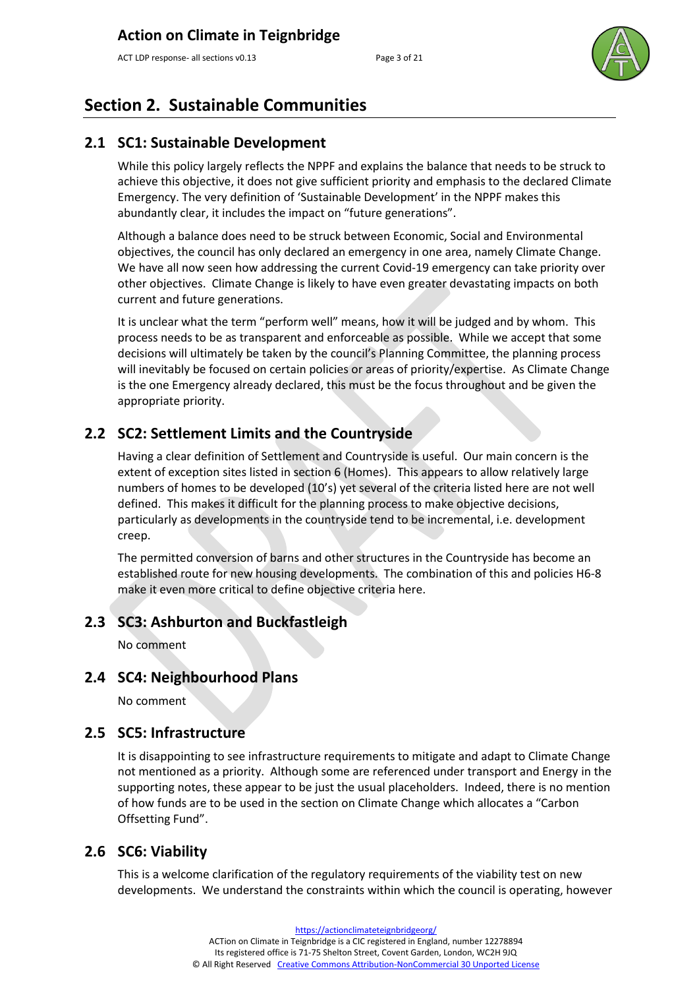ACT LDP response- all sections v0.13 Page 3 of 21



## **Section 2. Sustainable Communities**

#### **2.1 SC1: Sustainable Development**

While this policy largely reflects the NPPF and explains the balance that needs to be struck to achieve this objective, it does not give sufficient priority and emphasis to the declared Climate Emergency. The very definition of 'Sustainable Development' in the NPPF makes this abundantly clear, it includes the impact on "future generations".

Although a balance does need to be struck between Economic, Social and Environmental objectives, the council has only declared an emergency in one area, namely Climate Change. We have all now seen how addressing the current Covid-19 emergency can take priority over other objectives. Climate Change is likely to have even greater devastating impacts on both current and future generations.

It is unclear what the term "perform well" means, how it will be judged and by whom. This process needs to be as transparent and enforceable as possible. While we accept that some decisions will ultimately be taken by the council's Planning Committee, the planning process will inevitably be focused on certain policies or areas of priority/expertise. As Climate Change is the one Emergency already declared, this must be the focus throughout and be given the appropriate priority.

### **2.2 SC2: Settlement Limits and the Countryside**

Having a clear definition of Settlement and Countryside is useful. Our main concern is the extent of exception sites listed in section 6 (Homes). This appears to allow relatively large numbers of homes to be developed (10's) yet several of the criteria listed here are not well defined. This makes it difficult for the planning process to make objective decisions, particularly as developments in the countryside tend to be incremental, i.e. development creep.

The permitted conversion of barns and other structures in the Countryside has become an established route for new housing developments. The combination of this and policies H6-8 make it even more critical to define objective criteria here.

#### **2.3 SC3: Ashburton and Buckfastleigh**

No comment

#### **2.4 SC4: Neighbourhood Plans**

No comment

#### **2.5 SC5: Infrastructure**

It is disappointing to see infrastructure requirements to mitigate and adapt to Climate Change not mentioned as a priority. Although some are referenced under transport and Energy in the supporting notes, these appear to be just the usual placeholders. Indeed, there is no mention of how funds are to be used in the section on Climate Change which allocates a "Carbon Offsetting Fund".

#### **2.6 SC6: Viability**

This is a welcome clarification of the regulatory requirements of the viability test on new developments. We understand the constraints within which the council is operating, however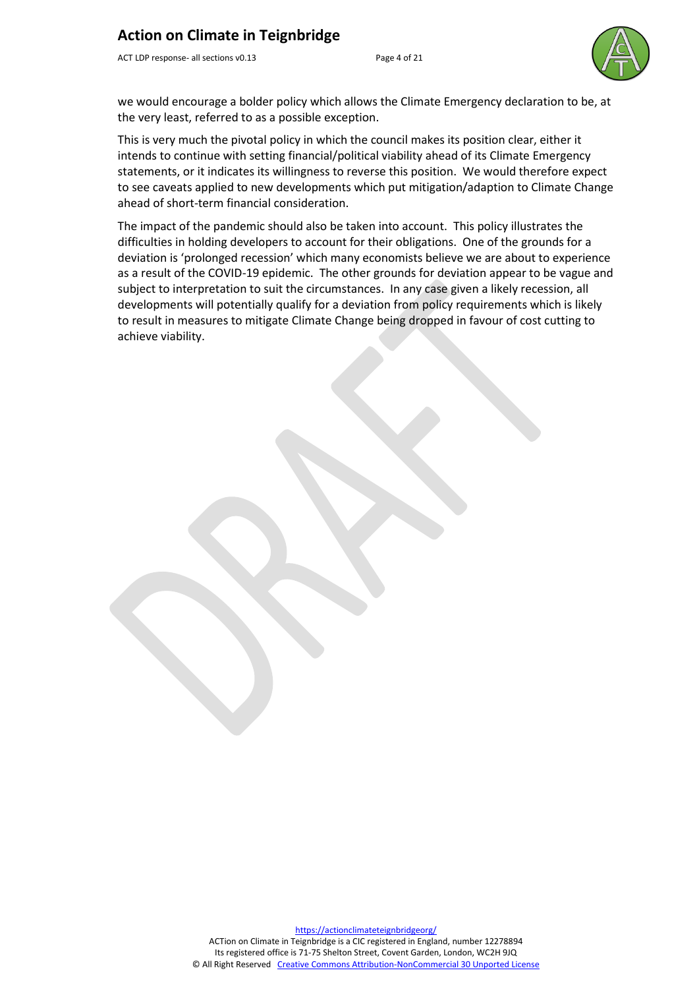ACT LDP response- all sections v0.13 Page 4 of 21



we would encourage a bolder policy which allows the Climate Emergency declaration to be, at the very least, referred to as a possible exception.

This is very much the pivotal policy in which the council makes its position clear, either it intends to continue with setting financial/political viability ahead of its Climate Emergency statements, or it indicates its willingness to reverse this position. We would therefore expect to see caveats applied to new developments which put mitigation/adaption to Climate Change ahead of short-term financial consideration.

The impact of the pandemic should also be taken into account. This policy illustrates the difficulties in holding developers to account for their obligations. One of the grounds for a deviation is 'prolonged recession' which many economists believe we are about to experience as a result of the COVID-19 epidemic. The other grounds for deviation appear to be vague and subject to interpretation to suit the circumstances. In any case given a likely recession, all developments will potentially qualify for a deviation from policy requirements which is likely to result in measures to mitigate Climate Change being dropped in favour of cost cutting to achieve viability.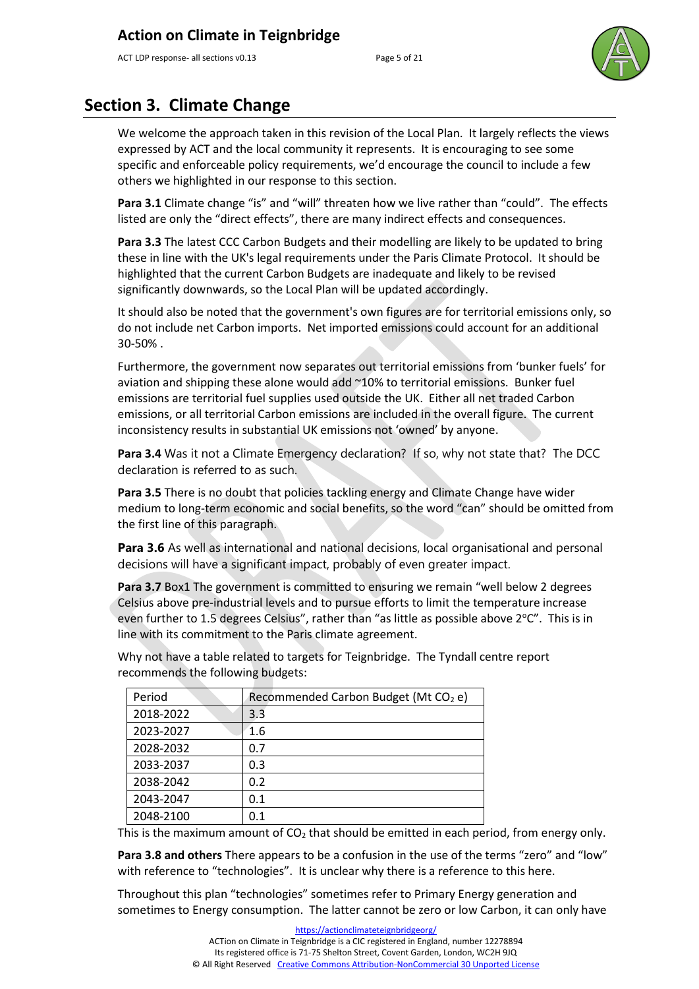ACT LDP response- all sections v0.13 Page 5 of 21



## **Section 3. Climate Change**

We welcome the approach taken in this revision of the Local Plan. It largely reflects the views expressed by ACT and the local community it represents. It is encouraging to see some specific and enforceable policy requirements, we'd encourage the council to include a few others we highlighted in our response to this section.

**Para 3.1** Climate change "is" and "will" threaten how we live rather than "could". The effects listed are only the "direct effects", there are many indirect effects and consequences.

**Para 3.3** The latest CCC Carbon Budgets and their modelling are likely to be updated to bring these in line with the UK's legal requirements under the Paris Climate Protocol. It should be highlighted that the current Carbon Budgets are inadequate and likely to be revised significantly downwards, so the Local Plan will be updated accordingly.

It should also be noted that the government's own figures are for territorial emissions only, so do not include net Carbon imports. Net imported emissions could account for an additional 30-50% .

Furthermore, the government now separates out territorial emissions from 'bunker fuels' for aviation and shipping these alone would add ~10% to territorial emissions. Bunker fuel emissions are territorial fuel supplies used outside the UK. Either all net traded Carbon emissions, or all territorial Carbon emissions are included in the overall figure. The current inconsistency results in substantial UK emissions not 'owned' by anyone.

**Para 3.4** Was it not a Climate Emergency declaration? If so, why not state that? The DCC declaration is referred to as such.

**Para 3.5** There is no doubt that policies tackling energy and Climate Change have wider medium to long-term economic and social benefits, so the word "can" should be omitted from the first line of this paragraph.

**Para 3.6** As well as international and national decisions, local organisational and personal decisions will have a significant impact, probably of even greater impact.

**Para 3.7** Box1 The government is committed to ensuring we remain "well below 2 degrees Celsius above pre-industrial levels and to pursue efforts to limit the temperature increase even further to 1.5 degrees Celsius", rather than "as little as possible above  $2^{\circ}C$ ". This is in line with its commitment to the Paris climate agreement.

recommends the following budgets: **Period Recommended Carbon Budget (Mt**  $CO<sub>2</sub>$  **e)** 

Why not have a table related to targets for Teignbridge. The Tyndall centre report

| ו כו וטע  | Recommended Carbon Budget (IVIt CO) ET |  |  |
|-----------|----------------------------------------|--|--|
| 2018-2022 | 3.3                                    |  |  |
| 2023-2027 | 1.6                                    |  |  |
| 2028-2032 | 0.7                                    |  |  |
| 2033-2037 | 0.3                                    |  |  |
| 2038-2042 | 0.2                                    |  |  |
| 2043-2047 | 0.1                                    |  |  |
| 2048-2100 | 0.1                                    |  |  |
|           |                                        |  |  |

This is the maximum amount of  $CO<sub>2</sub>$  that should be emitted in each period, from energy only.

**Para 3.8 and others** There appears to be a confusion in the use of the terms "zero" and "low" with reference to "technologies". It is unclear why there is a reference to this here.

Throughout this plan "technologies" sometimes refer to Primary Energy generation and sometimes to Energy consumption. The latter cannot be zero or low Carbon, it can only have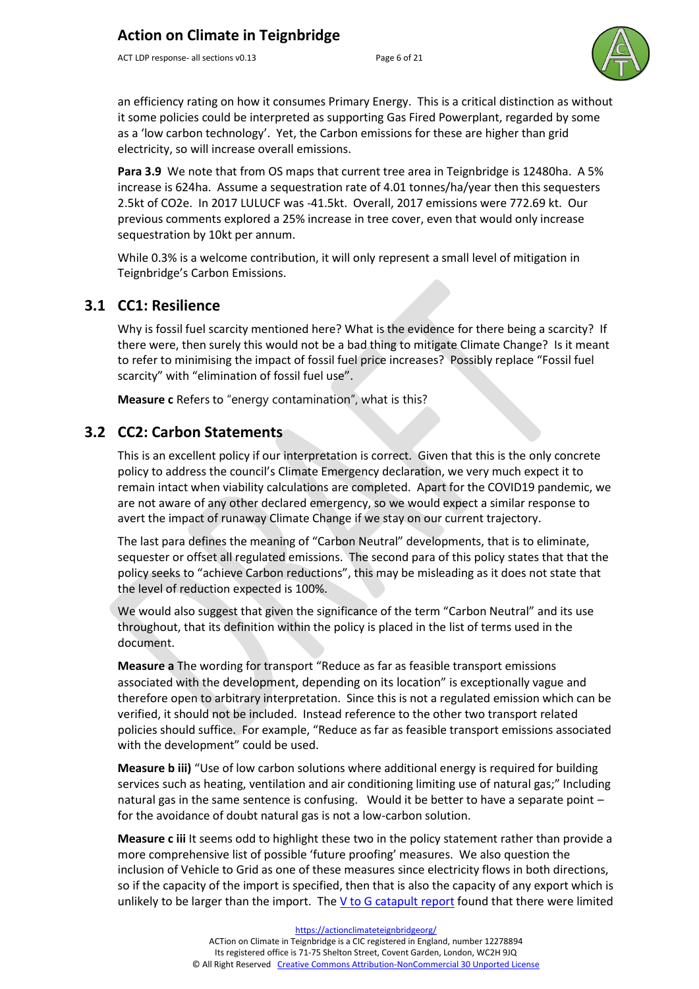ACT LDP response- all sections v0.13 Page 6 of 21



an efficiency rating on how it consumes Primary Energy. This is a critical distinction as without it some policies could be interpreted as supporting Gas Fired Powerplant, regarded by some as a 'low carbon technology'. Yet, the Carbon emissions for these are higher than grid electricity, so will increase overall emissions.

**Para 3.9** We note that from OS maps that current tree area in Teignbridge is 12480ha. A 5% increase is 624ha. Assume a sequestration rate of 4.01 tonnes/ha/year then this sequesters 2.5kt of CO2e. In 2017 LULUCF was -41.5kt. Overall, 2017 emissions were 772.69 kt. Our previous comments explored a 25% increase in tree cover, even that would only increase sequestration by 10kt per annum.

While 0.3% is a welcome contribution, it will only represent a small level of mitigation in Teignbridge's Carbon Emissions.

#### **3.1 CC1: Resilience**

Why is fossil fuel scarcity mentioned here? What is the evidence for there being a scarcity? If there were, then surely this would not be a bad thing to mitigate Climate Change? Is it meant to refer to minimising the impact of fossil fuel price increases? Possibly replace "Fossil fuel scarcity" with "elimination of fossil fuel use".

**Measure c** Refers to "energy contamination", what is this?

#### **3.2 CC2: Carbon Statements**

This is an excellent policy if our interpretation is correct. Given that this is the only concrete policy to address the council's Climate Emergency declaration, we very much expect it to remain intact when viability calculations are completed. Apart for the COVID19 pandemic, we are not aware of any other declared emergency, so we would expect a similar response to avert the impact of runaway Climate Change if we stay on our current trajectory.

The last para defines the meaning of "Carbon Neutral" developments, that is to eliminate, sequester or offset all regulated emissions. The second para of this policy states that that the policy seeks to "achieve Carbon reductions", this may be misleading as it does not state that the level of reduction expected is 100%.

We would also suggest that given the significance of the term "Carbon Neutral" and its use throughout, that its definition within the policy is placed in the list of terms used in the document.

**Measure a** The wording for transport "Reduce as far as feasible transport emissions associated with the development, depending on its location" is exceptionally vague and therefore open to arbitrary interpretation. Since this is not a regulated emission which can be verified, it should not be included. Instead reference to the other two transport related policies should suffice. For example, "Reduce as far as feasible transport emissions associated with the development" could be used.

**Measure b iii)** "Use of low carbon solutions where additional energy is required for building services such as heating, ventilation and air conditioning limiting use of natural gas;" Including natural gas in the same sentence is confusing. Would it be better to have a separate point – for the avoidance of doubt natural gas is not a low-carbon solution.

**Measure c iii** It seems odd to highlight these two in the policy statement rather than provide a more comprehensive list of possible 'future proofing' measures. We also question the inclusion of Vehicle to Grid as one of these measures since electricity flows in both directions, so if the capacity of the import is specified, then that is also the capacity of any export which is unlikely to be larger than the import. Th[e V to G catapult](https://es.catapult.org.uk/wp-content/uploads/2019/06/V2GB-Public-Report.pdf) report found that there were limited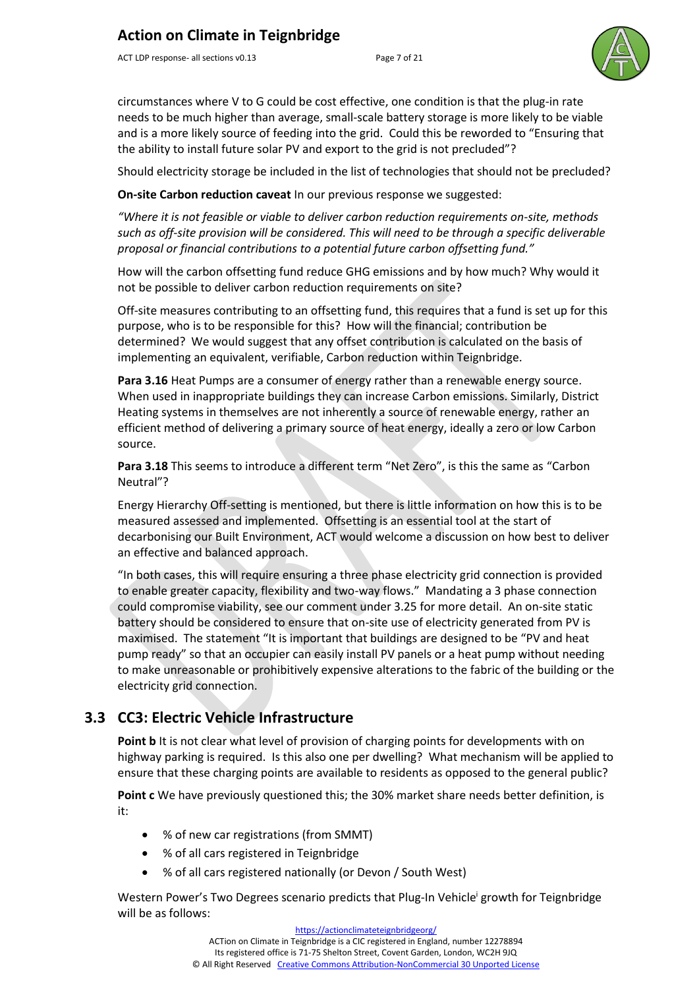ACT LDP response- all sections v0.13 Page 7 of 21



circumstances where V to G could be cost effective, one condition is that the plug-in rate needs to be much higher than average, small-scale battery storage is more likely to be viable and is a more likely source of feeding into the grid. Could this be reworded to "Ensuring that the ability to install future solar PV and export to the grid is not precluded"?

Should electricity storage be included in the list of technologies that should not be precluded?

**On-site Carbon reduction caveat** In our previous response we suggested:

*"Where it is not feasible or viable to deliver carbon reduction requirements on-site, methods such as off-site provision will be considered. This will need to be through a specific deliverable proposal or financial contributions to a potential future carbon offsetting fund."* 

How will the carbon offsetting fund reduce GHG emissions and by how much? Why would it not be possible to deliver carbon reduction requirements on site?

Off-site measures contributing to an offsetting fund, this requires that a fund is set up for this purpose, who is to be responsible for this? How will the financial; contribution be determined? We would suggest that any offset contribution is calculated on the basis of implementing an equivalent, verifiable, Carbon reduction within Teignbridge.

**Para 3.16** Heat Pumps are a consumer of energy rather than a renewable energy source. When used in inappropriate buildings they can increase Carbon emissions. Similarly, District Heating systems in themselves are not inherently a source of renewable energy, rather an efficient method of delivering a primary source of heat energy, ideally a zero or low Carbon source.

**Para 3.18** This seems to introduce a different term "Net Zero", is this the same as "Carbon Neutral"?

Energy Hierarchy Off-setting is mentioned, but there is little information on how this is to be measured assessed and implemented. Offsetting is an essential tool at the start of decarbonising our Built Environment, ACT would welcome a discussion on how best to deliver an effective and balanced approach.

"In both cases, this will require ensuring a three phase electricity grid connection is provided to enable greater capacity, flexibility and two-way flows." Mandating a 3 phase connection could compromise viability, see our comment under 3.25 for more detail. An on-site static battery should be considered to ensure that on-site use of electricity generated from PV is maximised. The statement "It is important that buildings are designed to be "PV and heat pump ready" so that an occupier can easily install PV panels or a heat pump without needing to make unreasonable or prohibitively expensive alterations to the fabric of the building or the electricity grid connection.

## **3.3 CC3: Electric Vehicle Infrastructure**

**Point b** It is not clear what level of provision of charging points for developments with on highway parking is required. Is this also one per dwelling? What mechanism will be applied to ensure that these charging points are available to residents as opposed to the general public?

**Point c** We have previously questioned this; the 30% market share needs better definition, is it:

- % of new car registrations (from SMMT)
- % of all cars registered in Teignbridge
- % of all cars registered nationally (or Devon / South West)

Western Power's Two Degrees scenario predicts that Plug-In Vehicle<sup>i</sup> growth for Teignbridge will be as follows:

ACTion on Climate in Teignbridge is a CIC registered in England, number 12278894

Its registered office is 71-75 Shelton Street, Covent Garden, London, WC2H 9JQ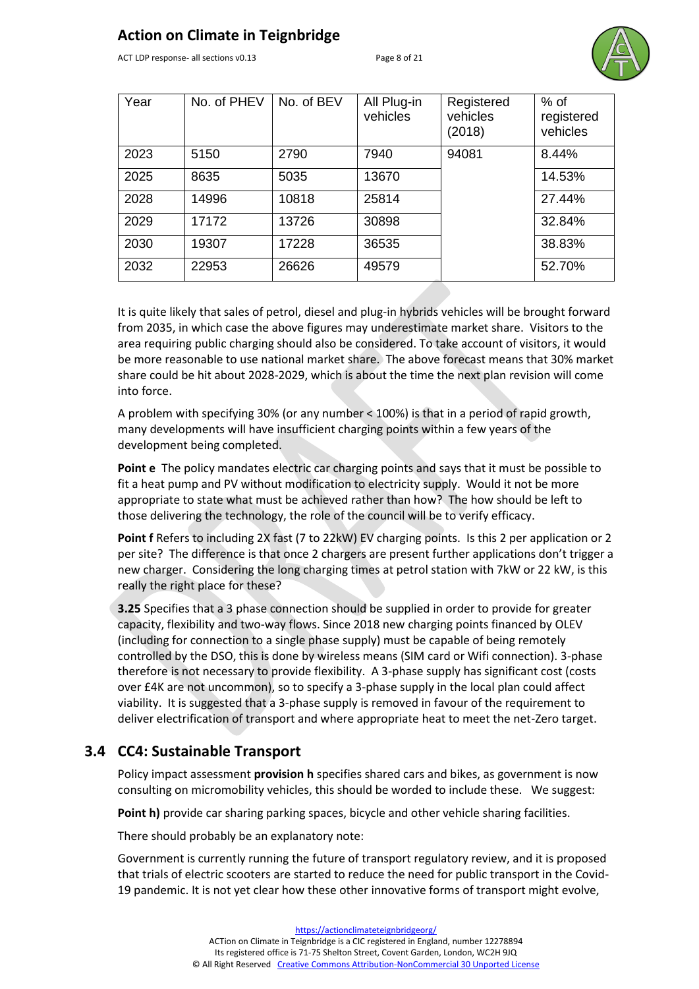ACT LDP response- all sections v0.13 Page 8 of 21



| Year | No. of PHEV | No. of BEV | All Plug-in<br>vehicles | Registered<br>vehicles<br>(2018) | $%$ of<br>registered<br>vehicles |
|------|-------------|------------|-------------------------|----------------------------------|----------------------------------|
| 2023 | 5150        | 2790       | 7940                    | 94081                            | 8.44%                            |
| 2025 | 8635        | 5035       | 13670                   |                                  | 14.53%                           |
| 2028 | 14996       | 10818      | 25814                   |                                  | 27.44%                           |
| 2029 | 17172       | 13726      | 30898                   |                                  | 32.84%                           |
| 2030 | 19307       | 17228      | 36535                   |                                  | 38.83%                           |
| 2032 | 22953       | 26626      | 49579                   |                                  | 52.70%                           |

It is quite likely that sales of petrol, diesel and plug-in hybrids vehicles will be brought forward from 2035, in which case the above figures may underestimate market share. Visitors to the area requiring public charging should also be considered. To take account of visitors, it would be more reasonable to use national market share. The above forecast means that 30% market share could be hit about 2028-2029, which is about the time the next plan revision will come into force.

A problem with specifying 30% (or any number < 100%) is that in a period of rapid growth, many developments will have insufficient charging points within a few years of the development being completed.

**Point e** The policy mandates electric car charging points and says that it must be possible to fit a heat pump and PV without modification to electricity supply. Would it not be more appropriate to state what must be achieved rather than how? The how should be left to those delivering the technology, the role of the council will be to verify efficacy.

**Point f** Refers to including 2X fast (7 to 22kW) EV charging points. Is this 2 per application or 2 per site? The difference is that once 2 chargers are present further applications don't trigger a new charger. Considering the long charging times at petrol station with 7kW or 22 kW, is this really the right place for these?

**3.25** Specifies that a 3 phase connection should be supplied in order to provide for greater capacity, flexibility and two-way flows. Since 2018 new charging points financed by OLEV (including for connection to a single phase supply) must be capable of being remotely controlled by the DSO, this is done by wireless means (SIM card or Wifi connection). 3-phase therefore is not necessary to provide flexibility. A 3-phase supply has significant cost (costs over £4K are not uncommon), so to specify a 3-phase supply in the local plan could affect viability. It is suggested that a 3-phase supply is removed in favour of the requirement to deliver electrification of transport and where appropriate heat to meet the net-Zero target.

#### **3.4 CC4: Sustainable Transport**

Policy impact assessment **provision h** specifies shared cars and bikes, as government is now consulting on micromobility vehicles, this should be worded to include these. We suggest:

**Point h)** provide car sharing parking spaces, bicycle and other vehicle sharing facilities.

There should probably be an explanatory note:

Government is currently running the future of transport regulatory review, and it is proposed that trials of electric scooters are started to reduce the need for public transport in the Covid-19 pandemic. It is not yet clear how these other innovative forms of transport might evolve,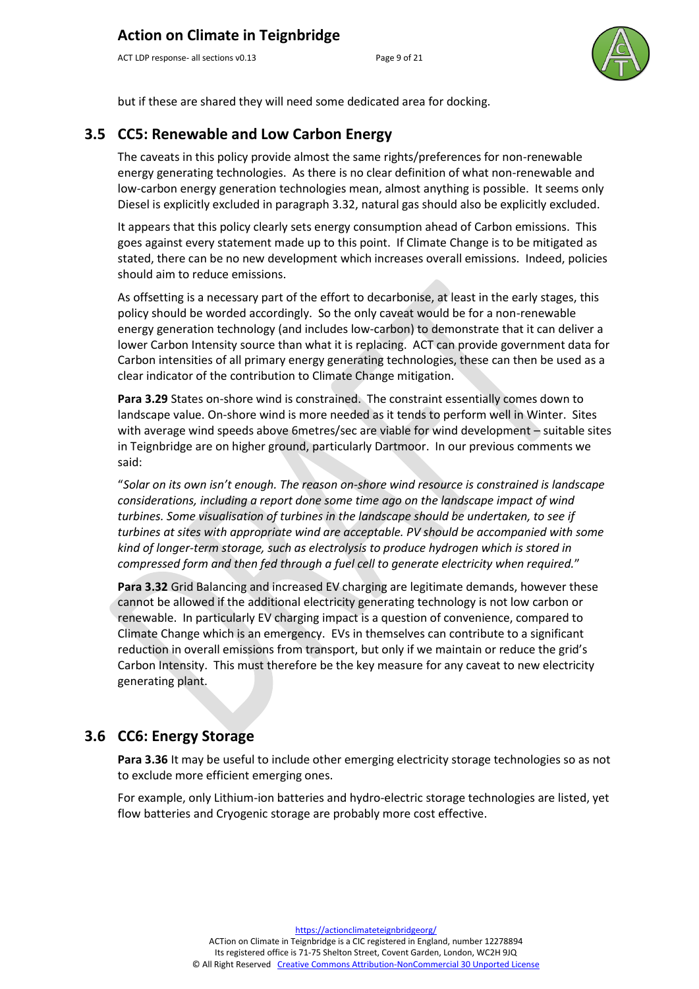ACT LDP response- all sections v0.13 Page 9 of 21



but if these are shared they will need some dedicated area for docking.

#### **3.5 CC5: Renewable and Low Carbon Energy**

The caveats in this policy provide almost the same rights/preferences for non-renewable energy generating technologies. As there is no clear definition of what non-renewable and low-carbon energy generation technologies mean, almost anything is possible. It seems only Diesel is explicitly excluded in paragraph 3.32, natural gas should also be explicitly excluded.

It appears that this policy clearly sets energy consumption ahead of Carbon emissions. This goes against every statement made up to this point. If Climate Change is to be mitigated as stated, there can be no new development which increases overall emissions. Indeed, policies should aim to reduce emissions.

As offsetting is a necessary part of the effort to decarbonise, at least in the early stages, this policy should be worded accordingly. So the only caveat would be for a non-renewable energy generation technology (and includes low-carbon) to demonstrate that it can deliver a lower Carbon Intensity source than what it is replacing. ACT can provide government data for Carbon intensities of all primary energy generating technologies, these can then be used as a clear indicator of the contribution to Climate Change mitigation.

**Para 3.29** States on-shore wind is constrained. The constraint essentially comes down to landscape value. On-shore wind is more needed as it tends to perform well in Winter. Sites with average wind speeds above 6metres/sec are viable for wind development – suitable sites in Teignbridge are on higher ground, particularly Dartmoor. In our previous comments we said:

"*Solar on its own isn't enough. The reason on-shore wind resource is constrained is landscape considerations, including a report done some time ago on the landscape impact of wind turbines. Some visualisation of turbines in the landscape should be undertaken, to see if turbines at sites with appropriate wind are acceptable. PV should be accompanied with some kind of longer-term storage, such as electrolysis to produce hydrogen which is stored in compressed form and then fed through a fuel cell to generate electricity when required.*"

**Para 3.32** Grid Balancing and increased EV charging are legitimate demands, however these cannot be allowed if the additional electricity generating technology is not low carbon or renewable. In particularly EV charging impact is a question of convenience, compared to Climate Change which is an emergency. EVs in themselves can contribute to a significant reduction in overall emissions from transport, but only if we maintain or reduce the grid's Carbon Intensity. This must therefore be the key measure for any caveat to new electricity generating plant.

#### **3.6 CC6: Energy Storage**

**Para 3.36** It may be useful to include other emerging electricity storage technologies so as not to exclude more efficient emerging ones.

For example, only Lithium-ion batteries and hydro-electric storage technologies are listed, yet flow batteries and Cryogenic storage are probably more cost effective.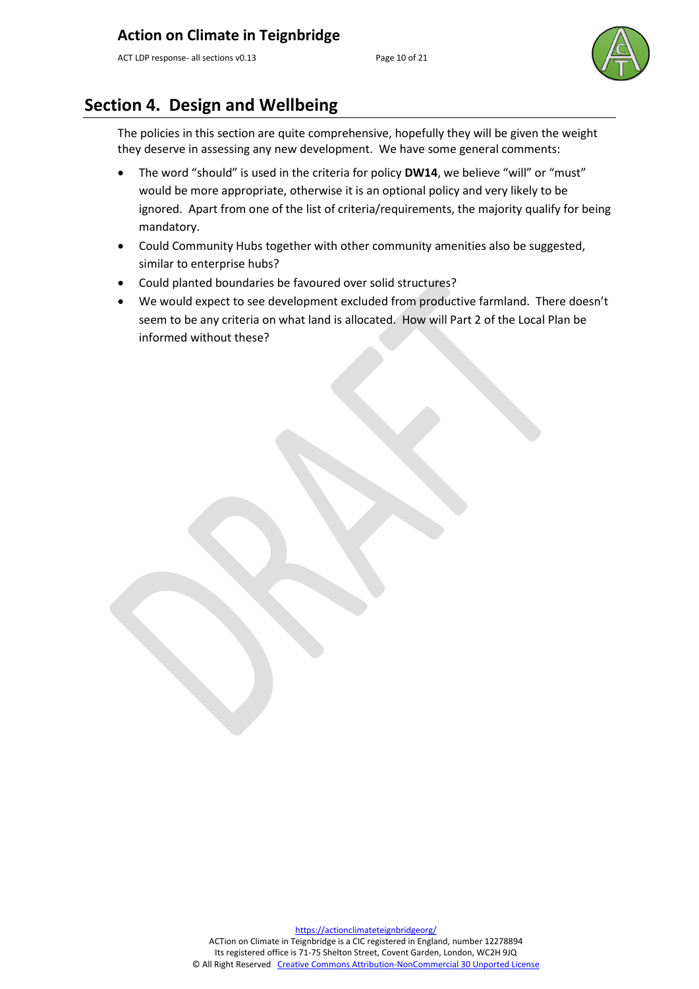ACT LDP response- all sections v0.13 Page 10 of 21



## **Section 4. Design and Wellbeing**

The policies in this section are quite comprehensive, hopefully they will be given the weight they deserve in assessing any new development. We have some general comments:

- The word "should" is used in the criteria for policy **DW14**, we believe "will" or "must" would be more appropriate, otherwise it is an optional policy and very likely to be ignored. Apart from one of the list of criteria/requirements, the majority qualify for being mandatory.
- Could Community Hubs together with other community amenities also be suggested, similar to enterprise hubs?
- Could planted boundaries be favoured over solid structures?
- We would expect to see development excluded from productive farmland. There doesn't seem to be any criteria on what land is allocated. How will Part 2 of the Local Plan be informed without these?

[https://actionclimateteignbridgeorg/](https://actionclimateteignbridge.org/) ACTion on Climate in Teignbridge is a CIC registered in England, number 12278894 Its registered office is 71-75 Shelton Street, Covent Garden, London, WC2H 9JQ © All Right Reserved [Creative Commons Attribution-NonCommercial 30 Unported License](http://creativecommons.org/licenses/by-nc/3.0/)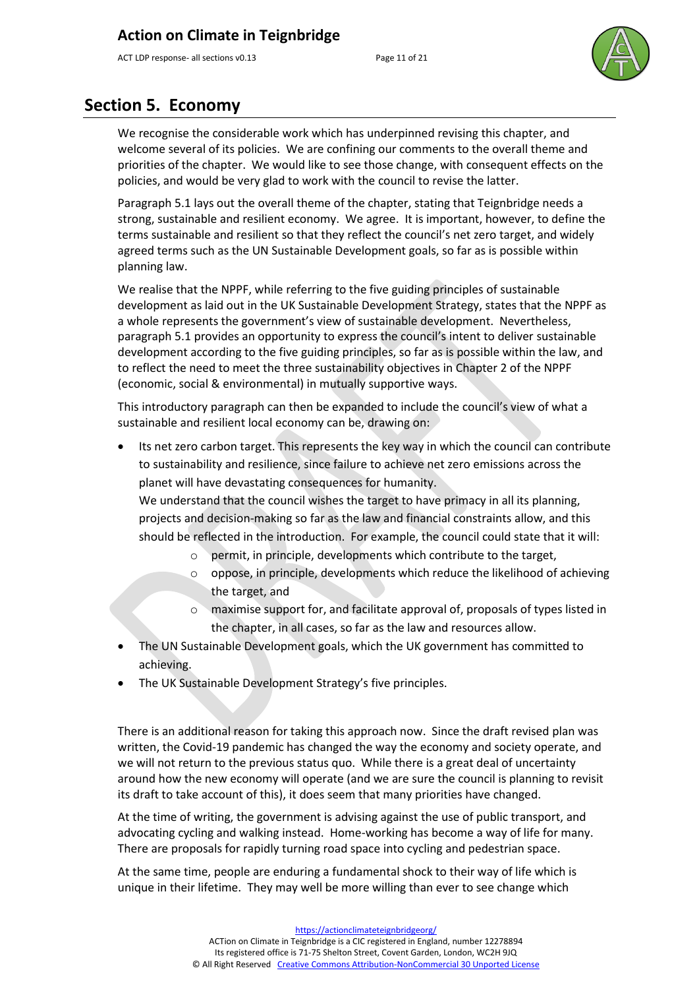ACT LDP response- all sections v0.13 Page 11 of 21



## **Section 5. Economy**

We recognise the considerable work which has underpinned revising this chapter, and welcome several of its policies. We are confining our comments to the overall theme and priorities of the chapter. We would like to see those change, with consequent effects on the policies, and would be very glad to work with the council to revise the latter.

Paragraph 5.1 lays out the overall theme of the chapter, stating that Teignbridge needs a strong, sustainable and resilient economy. We agree. It is important, however, to define the terms sustainable and resilient so that they reflect the council's net zero target, and widely agreed terms such as the UN Sustainable Development goals, so far as is possible within planning law.

We realise that the NPPF, while referring to the five guiding principles of sustainable development as laid out in the UK Sustainable Development Strategy, states that the NPPF as a whole represents the government's view of sustainable development. Nevertheless, paragraph 5.1 provides an opportunity to express the council's intent to deliver sustainable development according to the five guiding principles, so far as is possible within the law, and to reflect the need to meet the three sustainability objectives in Chapter 2 of the NPPF (economic, social & environmental) in mutually supportive ways.

This introductory paragraph can then be expanded to include the council's view of what a sustainable and resilient local economy can be, drawing on:

Its net zero carbon target. This represents the key way in which the council can contribute to sustainability and resilience, since failure to achieve net zero emissions across the planet will have devastating consequences for humanity.

We understand that the council wishes the target to have primacy in all its planning, projects and decision-making so far as the law and financial constraints allow, and this should be reflected in the introduction. For example, the council could state that it will:

- o permit, in principle, developments which contribute to the target,
- $\circ$  oppose, in principle, developments which reduce the likelihood of achieving the target, and
- o maximise support for, and facilitate approval of, proposals of types listed in the chapter, in all cases, so far as the law and resources allow.
- The UN Sustainable Development goals, which the UK government has committed to achieving.
- The UK Sustainable Development Strategy's five principles.

There is an additional reason for taking this approach now. Since the draft revised plan was written, the Covid-19 pandemic has changed the way the economy and society operate, and we will not return to the previous status quo. While there is a great deal of uncertainty around how the new economy will operate (and we are sure the council is planning to revisit its draft to take account of this), it does seem that many priorities have changed.

At the time of writing, the government is advising against the use of public transport, and advocating cycling and walking instead. Home-working has become a way of life for many. There are proposals for rapidly turning road space into cycling and pedestrian space.

At the same time, people are enduring a fundamental shock to their way of life which is unique in their lifetime. They may well be more willing than ever to see change which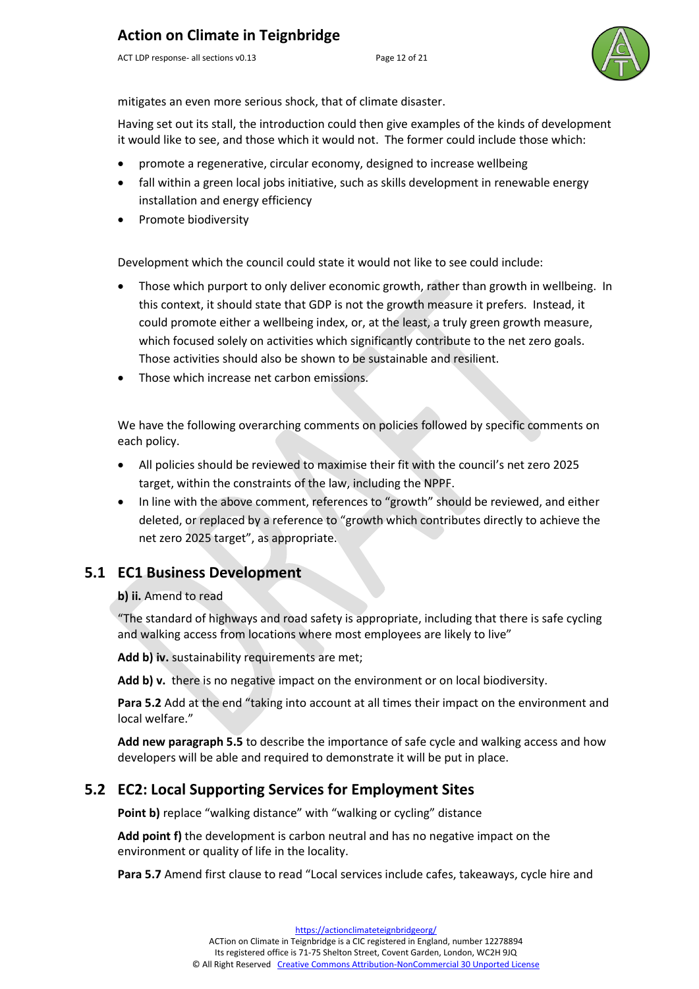ACT LDP response- all sections v0.13 Page 12 of 21



mitigates an even more serious shock, that of climate disaster.

Having set out its stall, the introduction could then give examples of the kinds of development it would like to see, and those which it would not. The former could include those which:

- promote a regenerative, circular economy, designed to increase wellbeing
- fall within a green local jobs initiative, such as skills development in renewable energy installation and energy efficiency
- Promote biodiversity

Development which the council could state it would not like to see could include:

- Those which purport to only deliver economic growth, rather than growth in wellbeing. In this context, it should state that GDP is not the growth measure it prefers. Instead, it could promote either a wellbeing index, or, at the least, a truly green growth measure, which focused solely on activities which significantly contribute to the net zero goals. Those activities should also be shown to be sustainable and resilient.
- Those which increase net carbon emissions.

We have the following overarching comments on policies followed by specific comments on each policy.

- All policies should be reviewed to maximise their fit with the council's net zero 2025 target, within the constraints of the law, including the NPPF.
- In line with the above comment, references to "growth" should be reviewed, and either deleted, or replaced by a reference to "growth which contributes directly to achieve the net zero 2025 target", as appropriate.

#### **5.1 EC1 Business Development**

#### **b) ii.** Amend to read

"The standard of highways and road safety is appropriate, including that there is safe cycling and walking access from locations where most employees are likely to live"

Add b) iv. sustainability requirements are met;

**Add b) v.** there is no negative impact on the environment or on local biodiversity.

**Para 5.2** Add at the end "taking into account at all times their impact on the environment and local welfare."

**Add new paragraph 5.5** to describe the importance of safe cycle and walking access and how developers will be able and required to demonstrate it will be put in place.

## **5.2 EC2: Local Supporting Services for Employment Sites**

**Point b)** replace "walking distance" with "walking or cycling" distance

**Add point f)** the development is carbon neutral and has no negative impact on the environment or quality of life in the locality.

**Para 5.7** Amend first clause to read "Local services include cafes, takeaways, cycle hire and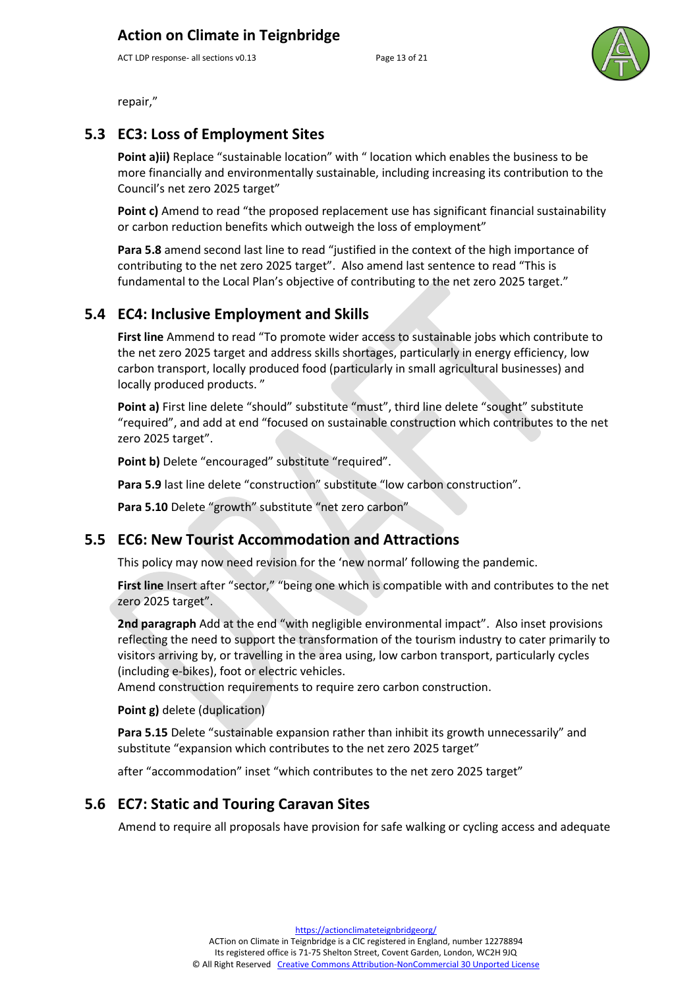ACT LDP response- all sections v0.13 Page 13 of 21



repair,"

#### **5.3 EC3: Loss of Employment Sites**

Point a)ii) Replace "sustainable location" with " location which enables the business to be more financially and environmentally sustainable, including increasing its contribution to the Council's net zero 2025 target"

**Point c)** Amend to read "the proposed replacement use has significant financial sustainability or carbon reduction benefits which outweigh the loss of employment"

**Para 5.8** amend second last line to read "justified in the context of the high importance of contributing to the net zero 2025 target". Also amend last sentence to read "This is fundamental to the Local Plan's objective of contributing to the net zero 2025 target."

#### **5.4 EC4: Inclusive Employment and Skills**

**First line** Ammend to read "To promote wider access to sustainable jobs which contribute to the net zero 2025 target and address skills shortages, particularly in energy efficiency, low carbon transport, locally produced food (particularly in small agricultural businesses) and locally produced products. "

**Point a)** First line delete "should" substitute "must", third line delete "sought" substitute "required", and add at end "focused on sustainable construction which contributes to the net zero 2025 target".

Point b) Delete "encouraged" substitute "required".

Para 5.9 last line delete "construction" substitute "low carbon construction".

Para 5.10 Delete "growth" substitute "net zero carbon"

#### **5.5 EC6: New Tourist Accommodation and Attractions**

This policy may now need revision for the 'new normal' following the pandemic.

**First line** Insert after "sector," "being one which is compatible with and contributes to the net zero 2025 target".

**2nd paragraph** Add at the end "with negligible environmental impact". Also inset provisions reflecting the need to support the transformation of the tourism industry to cater primarily to visitors arriving by, or travelling in the area using, low carbon transport, particularly cycles (including e-bikes), foot or electric vehicles.

Amend construction requirements to require zero carbon construction.

#### **Point g)** delete (duplication)

Para 5.15 Delete "sustainable expansion rather than inhibit its growth unnecessarily" and substitute "expansion which contributes to the net zero 2025 target"

after "accommodation" inset "which contributes to the net zero 2025 target"

#### **5.6 EC7: Static and Touring Caravan Sites**

Amend to require all proposals have provision for safe walking or cycling access and adequate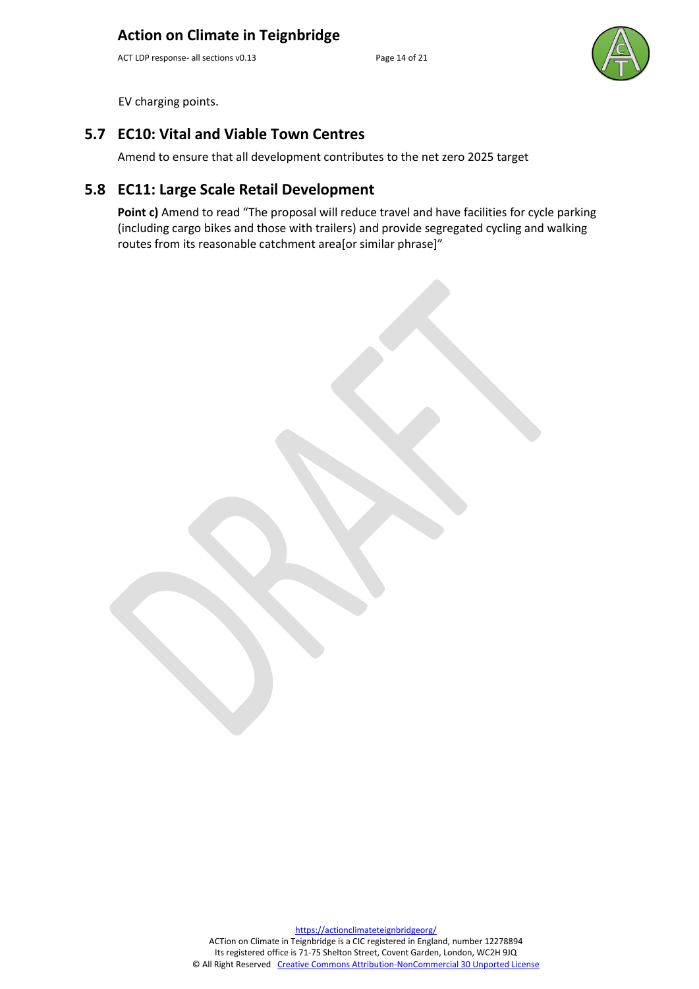ACT LDP response- all sections v0.13 Page 14 of 21



EV charging points.

#### **5.7 EC10: Vital and Viable Town Centres**

Amend to ensure that all development contributes to the net zero 2025 target

#### **5.8 EC11: Large Scale Retail Development**

Point c) Amend to read "The proposal will reduce travel and have facilities for cycle parking (including cargo bikes and those with trailers) and provide segregated cycling and walking routes from its reasonable catchment area[or similar phrase]"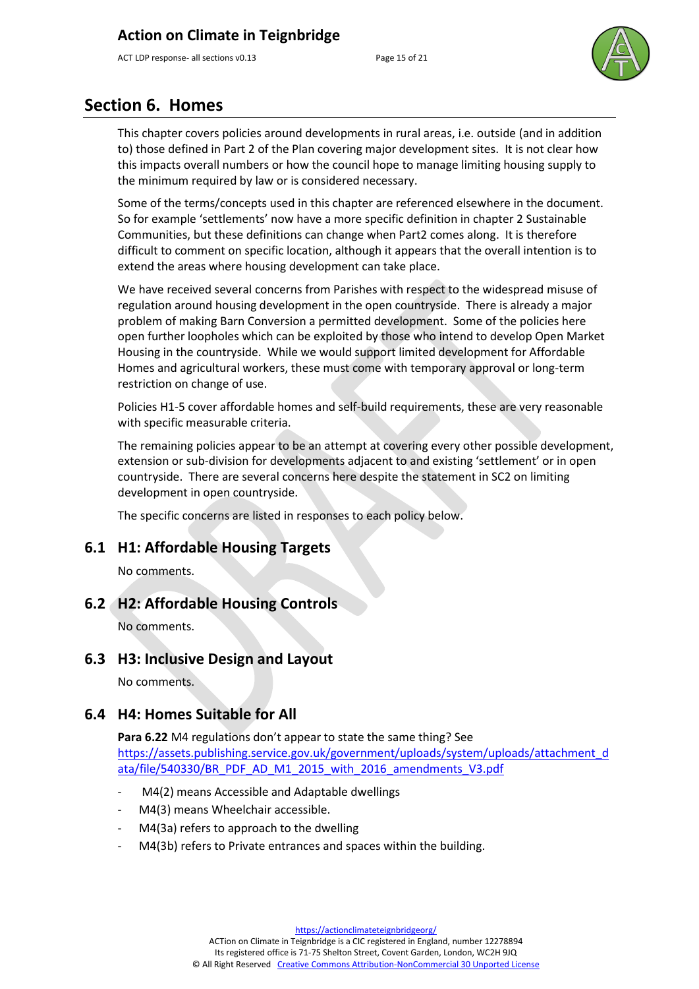ACT LDP response- all sections v0.13 Page 15 of 21



## **Section 6. Homes**

This chapter covers policies around developments in rural areas, i.e. outside (and in addition to) those defined in Part 2 of the Plan covering major development sites. It is not clear how this impacts overall numbers or how the council hope to manage limiting housing supply to the minimum required by law or is considered necessary.

Some of the terms/concepts used in this chapter are referenced elsewhere in the document. So for example 'settlements' now have a more specific definition in chapter 2 Sustainable Communities, but these definitions can change when Part2 comes along. It is therefore difficult to comment on specific location, although it appears that the overall intention is to extend the areas where housing development can take place.

We have received several concerns from Parishes with respect to the widespread misuse of regulation around housing development in the open countryside. There is already a major problem of making Barn Conversion a permitted development. Some of the policies here open further loopholes which can be exploited by those who intend to develop Open Market Housing in the countryside. While we would support limited development for Affordable Homes and agricultural workers, these must come with temporary approval or long-term restriction on change of use.

Policies H1-5 cover affordable homes and self-build requirements, these are very reasonable with specific measurable criteria.

The remaining policies appear to be an attempt at covering every other possible development, extension or sub-division for developments adjacent to and existing 'settlement' or in open countryside. There are several concerns here despite the statement in SC2 on limiting development in open countryside.

The specific concerns are listed in responses to each policy below.

#### **6.1 H1: Affordable Housing Targets**

No comments.

#### **6.2 H2: Affordable Housing Controls**

No comments.

#### **6.3 H3: Inclusive Design and Layout**

No comments.

#### **6.4 H4: Homes Suitable for All**

**Para 6.22** M4 regulations don't appear to state the same thing? See [https://assets.publishing.service.gov.uk/government/uploads/system/uploads/attachment\\_d](https://assets.publishing.service.gov.uk/government/uploads/system/uploads/attachment_data/file/540330/BR_PDF_AD_M1_2015_with_2016_amendments_V3.pdf) [ata/file/540330/BR\\_PDF\\_AD\\_M1\\_2015\\_with\\_2016\\_amendments\\_V3.pdf](https://assets.publishing.service.gov.uk/government/uploads/system/uploads/attachment_data/file/540330/BR_PDF_AD_M1_2015_with_2016_amendments_V3.pdf)

- M4(2) means Accessible and Adaptable dwellings
- M4(3) means Wheelchair accessible.
- M4(3a) refers to approach to the dwelling
- M4(3b) refers to Private entrances and spaces within the building.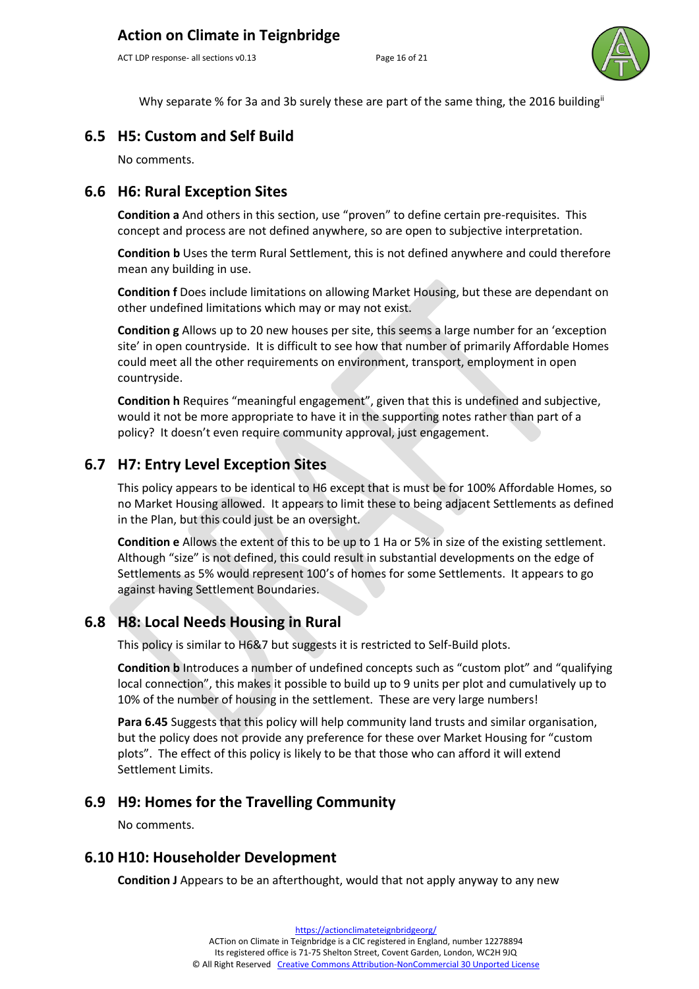ACT LDP response- all sections v0.13 Page 16 of 21



Why separate % for 3a and 3b surely these are part of the same thing, the 2016 building<sup>ii</sup>

#### **6.5 H5: Custom and Self Build**

No comments.

#### **6.6 H6: Rural Exception Sites**

**Condition a** And others in this section, use "proven" to define certain pre-requisites. This concept and process are not defined anywhere, so are open to subjective interpretation.

**Condition b** Uses the term Rural Settlement, this is not defined anywhere and could therefore mean any building in use.

**Condition f** Does include limitations on allowing Market Housing, but these are dependant on other undefined limitations which may or may not exist.

**Condition g** Allows up to 20 new houses per site, this seems a large number for an 'exception site' in open countryside. It is difficult to see how that number of primarily Affordable Homes could meet all the other requirements on environment, transport, employment in open countryside.

**Condition h** Requires "meaningful engagement", given that this is undefined and subjective, would it not be more appropriate to have it in the supporting notes rather than part of a policy? It doesn't even require community approval, just engagement.

#### **6.7 H7: Entry Level Exception Sites**

This policy appears to be identical to H6 except that is must be for 100% Affordable Homes, so no Market Housing allowed. It appears to limit these to being adjacent Settlements as defined in the Plan, but this could just be an oversight.

**Condition e** Allows the extent of this to be up to 1 Ha or 5% in size of the existing settlement. Although "size" is not defined, this could result in substantial developments on the edge of Settlements as 5% would represent 100's of homes for some Settlements. It appears to go against having Settlement Boundaries.

#### **6.8 H8: Local Needs Housing in Rural**

This policy is similar to H6&7 but suggests it is restricted to Self-Build plots.

**Condition b** Introduces a number of undefined concepts such as "custom plot" and "qualifying local connection", this makes it possible to build up to 9 units per plot and cumulatively up to 10% of the number of housing in the settlement. These are very large numbers!

**Para 6.45** Suggests that this policy will help community land trusts and similar organisation, but the policy does not provide any preference for these over Market Housing for "custom plots". The effect of this policy is likely to be that those who can afford it will extend Settlement Limits.

#### **6.9 H9: Homes for the Travelling Community**

No comments.

#### **6.10 H10: Householder Development**

**Condition J** Appears to be an afterthought, would that not apply anyway to any new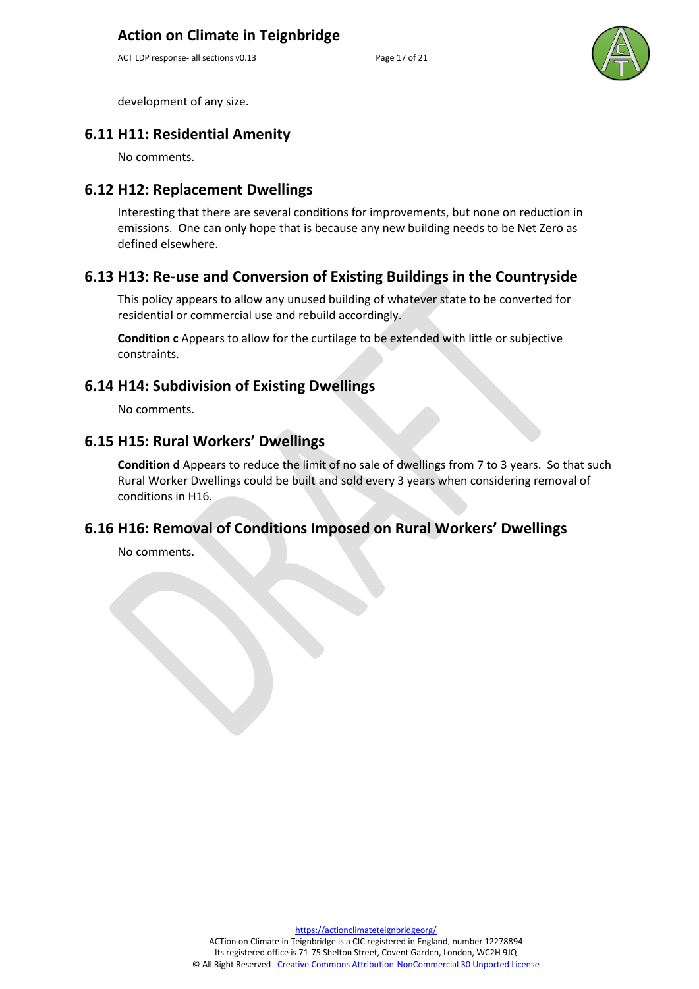ACT LDP response- all sections v0.13 Page 17 of 21



development of any size.

#### **6.11 H11: Residential Amenity**

No comments.

#### **6.12 H12: Replacement Dwellings**

Interesting that there are several conditions for improvements, but none on reduction in emissions. One can only hope that is because any new building needs to be Net Zero as defined elsewhere.

#### **6.13 H13: Re-use and Conversion of Existing Buildings in the Countryside**

This policy appears to allow any unused building of whatever state to be converted for residential or commercial use and rebuild accordingly.

**Condition c** Appears to allow for the curtilage to be extended with little or subjective constraints.

#### **6.14 H14: Subdivision of Existing Dwellings**

No comments.

#### **6.15 H15: Rural Workers' Dwellings**

**Condition d** Appears to reduce the limit of no sale of dwellings from 7 to 3 years. So that such Rural Worker Dwellings could be built and sold every 3 years when considering removal of conditions in H16.

#### **6.16 H16: Removal of Conditions Imposed on Rural Workers' Dwellings**

No comments.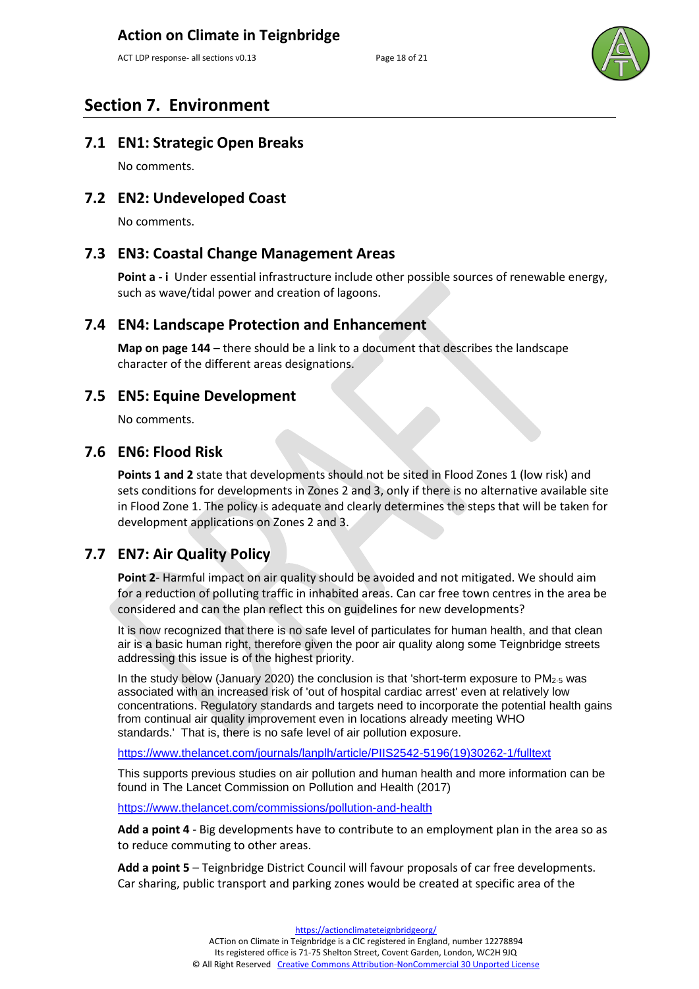ACT LDP response- all sections v0.13 Page 18 of 21



## **Section 7. Environment**

#### **7.1 EN1: Strategic Open Breaks**

No comments.

#### **7.2 EN2: Undeveloped Coast**

No comments.

#### **7.3 EN3: Coastal Change Management Areas**

**Point a - i** Under essential infrastructure include other possible sources of renewable energy, such as wave/tidal power and creation of lagoons.

#### **7.4 EN4: Landscape Protection and Enhancement**

**Map on page 144** – there should be a link to a document that describes the landscape character of the different areas designations.

#### **7.5 EN5: Equine Development**

No comments.

#### **7.6 EN6: Flood Risk**

**Points 1 and 2** state that developments should not be sited in Flood Zones 1 (low risk) and sets conditions for developments in Zones 2 and 3, only if there is no alternative available site in Flood Zone 1. The policy is adequate and clearly determines the steps that will be taken for development applications on Zones 2 and 3.

#### **7.7 EN7: Air Quality Policy**

**Point 2**- Harmful impact on air quality should be avoided and not mitigated. We should aim for a reduction of polluting traffic in inhabited areas. Can car free town centres in the area be considered and can the plan reflect this on guidelines for new developments?

It is now recognized that there is no safe level of particulates for human health, and that clean air is a basic human right, therefore given the poor air quality along some Teignbridge streets addressing this issue is of the highest priority.

In the study below (January 2020) the conclusion is that 'short-term exposure to PM2·5 was associated with an increased risk of 'out of hospital cardiac arrest' even at relatively low concentrations. Regulatory standards and targets need to incorporate the potential health gains from continual air quality improvement even in locations already meeting WHO standards.' That is, there is no safe level of air pollution exposure.

[https://www.thelancet.com/journals/lanplh/article/PIIS2542-5196\(19\)30262-1/fulltext](https://www.thelancet.com/journals/lanplh/article/PIIS2542-5196(19)30262-1/fulltext)

This supports previous studies on air pollution and human health and more information can be found in The Lancet Commission on Pollution and Health (2017)

<https://www.thelancet.com/commissions/pollution-and-health>

**Add a point 4** - Big developments have to contribute to an employment plan in the area so as to reduce commuting to other areas.

**Add a point 5** – Teignbridge District Council will favour proposals of car free developments. Car sharing, public transport and parking zones would be created at specific area of the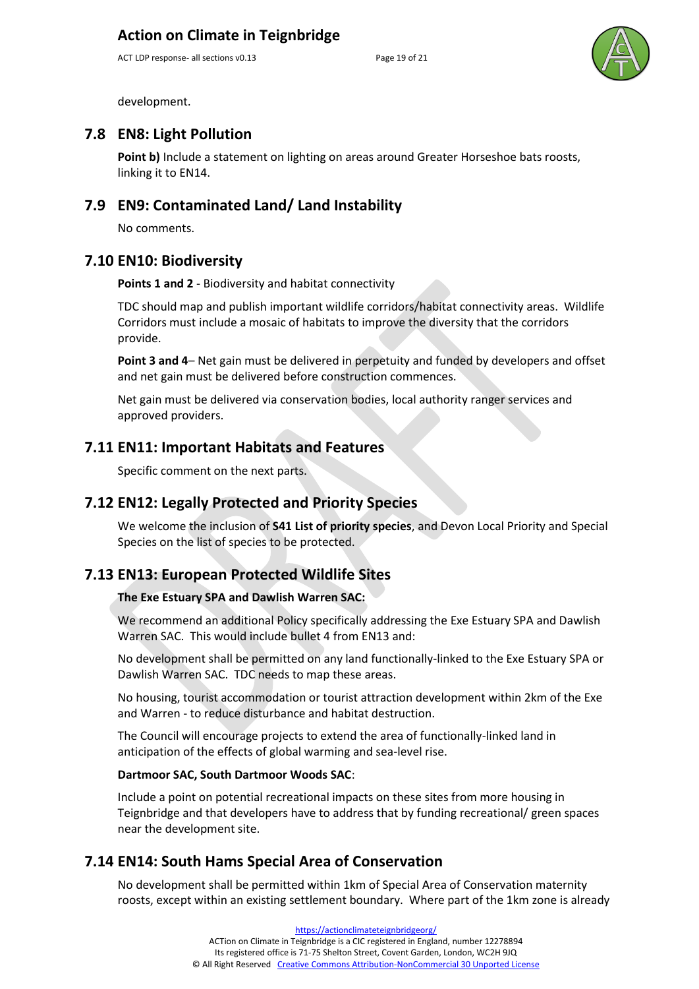ACT LDP response- all sections v0.13 Page 19 of 21



development.

#### **7.8 EN8: Light Pollution**

Point b) Include a statement on lighting on areas around Greater Horseshoe bats roosts, linking it to EN14.

#### **7.9 EN9: Contaminated Land/ Land Instability**

No comments.

#### **7.10 EN10: Biodiversity**

**Points 1 and 2** - Biodiversity and habitat connectivity

TDC should map and publish important wildlife corridors/habitat connectivity areas. Wildlife Corridors must include a mosaic of habitats to improve the diversity that the corridors provide.

**Point 3 and 4**– Net gain must be delivered in perpetuity and funded by developers and offset and net gain must be delivered before construction commences.

Net gain must be delivered via conservation bodies, local authority ranger services and approved providers.

#### **7.11 EN11: Important Habitats and Features**

Specific comment on the next parts.

#### **7.12 EN12: Legally Protected and Priority Species**

We welcome the inclusion of **S41 List of priority species**, and Devon Local Priority and Special Species on the list of species to be protected.

#### **7.13 EN13: European Protected Wildlife Sites**

#### **The Exe Estuary SPA and Dawlish Warren SAC:**

We recommend an additional Policy specifically addressing the Exe Estuary SPA and Dawlish Warren SAC. This would include bullet 4 from EN13 and:

No development shall be permitted on any land functionally-linked to the Exe Estuary SPA or Dawlish Warren SAC. TDC needs to map these areas.

No housing, tourist accommodation or tourist attraction development within 2km of the Exe and Warren - to reduce disturbance and habitat destruction.

The Council will encourage projects to extend the area of functionally-linked land in anticipation of the effects of global warming and sea-level rise.

#### **Dartmoor SAC, South Dartmoor Woods SAC**:

Include a point on potential recreational impacts on these sites from more housing in Teignbridge and that developers have to address that by funding recreational/ green spaces near the development site.

#### **7.14 EN14: South Hams Special Area of Conservation**

No development shall be permitted within 1km of Special Area of Conservation maternity roosts, except within an existing settlement boundary. Where part of the 1km zone is already

> [https://actionclimateteignbridgeorg/](https://actionclimateteignbridge.org/) ACTion on Climate in Teignbridge is a CIC registered in England, number 12278894 Its registered office is 71-75 Shelton Street, Covent Garden, London, WC2H 9JQ © All Right Reserved [Creative Commons Attribution-NonCommercial 30 Unported License](http://creativecommons.org/licenses/by-nc/3.0/)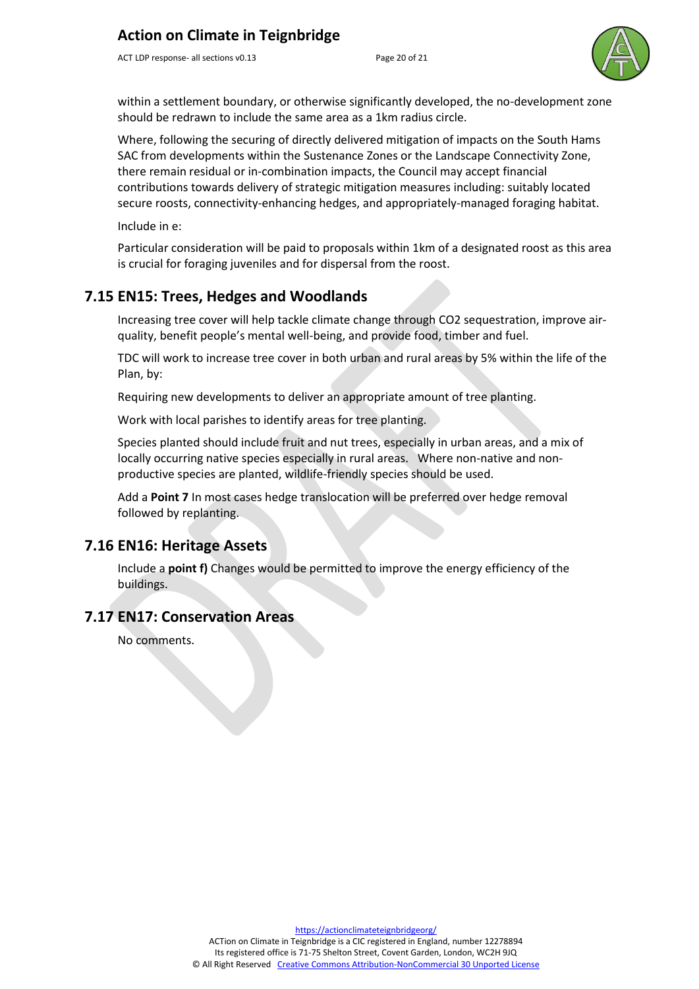ACT LDP response- all sections v0.13 Page 20 of 21



within a settlement boundary, or otherwise significantly developed, the no-development zone should be redrawn to include the same area as a 1km radius circle.

Where, following the securing of directly delivered mitigation of impacts on the South Hams SAC from developments within the Sustenance Zones or the Landscape Connectivity Zone, there remain residual or in-combination impacts, the Council may accept financial contributions towards delivery of strategic mitigation measures including: suitably located secure roosts, connectivity-enhancing hedges, and appropriately-managed foraging habitat.

Include in e:

Particular consideration will be paid to proposals within 1km of a designated roost as this area is crucial for foraging juveniles and for dispersal from the roost.

### **7.15 EN15: Trees, Hedges and Woodlands**

Increasing tree cover will help tackle climate change through CO2 sequestration, improve airquality, benefit people's mental well-being, and provide food, timber and fuel.

TDC will work to increase tree cover in both urban and rural areas by 5% within the life of the Plan, by:

Requiring new developments to deliver an appropriate amount of tree planting.

Work with local parishes to identify areas for tree planting.

Species planted should include fruit and nut trees, especially in urban areas, and a mix of locally occurring native species especially in rural areas. Where non-native and nonproductive species are planted, wildlife-friendly species should be used.

Add a **Point 7** In most cases hedge translocation will be preferred over hedge removal followed by replanting.

#### **7.16 EN16: Heritage Assets**

Include a **point f)** Changes would be permitted to improve the energy efficiency of the buildings.

#### **7.17 EN17: Conservation Areas**

No comments.